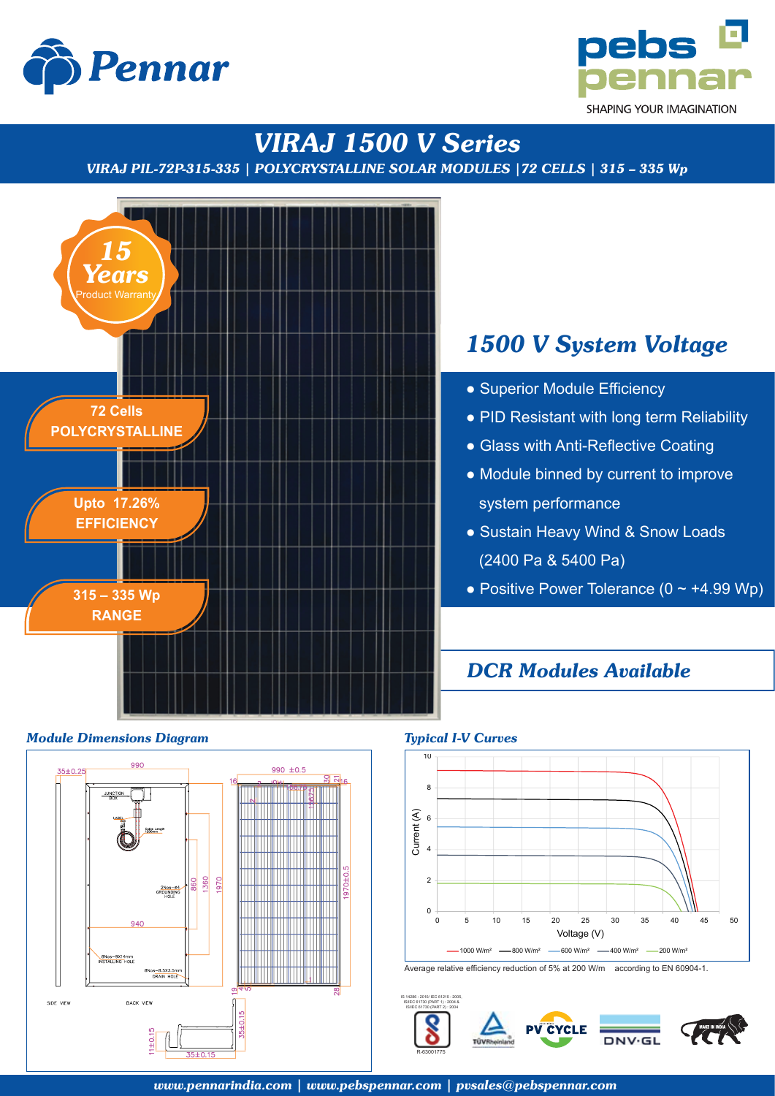



# *VIRAJ 1500 V Series*

*VIRAJ PIL-72P-315-335 | POLYCRYSTALLINE SOLAR MODULES |72 CELLS | 315 – 335 Wp*



## *Module Dimensions Diagram Typical I-V Curves*



# *1500 V System Voltage*

- Superior Module Efficiency
- PID Resistant with long term Reliability
- Glass with Anti-Reflective Coating
- Module binned by current to improve system performance
- Sustain Heavy Wind & Snow Loads (2400 Pa & 5400 Pa)
- Positive Power Tolerance  $(0 \sim +4.99 \text{ Wp})$

## *DCR Modules Available*



Average relative efficiency reduction of 5% at 200 W/m according to EN 60904-1.